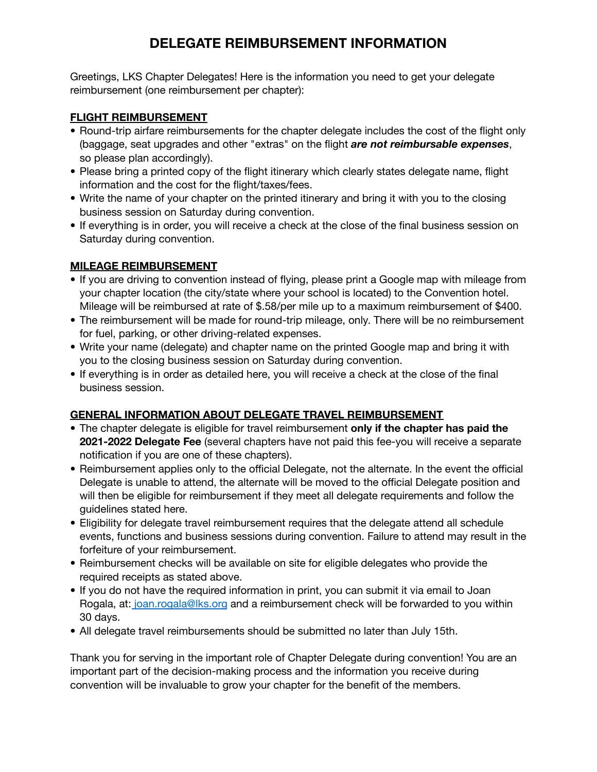# **DELEGATE REIMBURSEMENT INFORMATION**

Greetings, LKS Chapter Delegates! Here is the information you need to get your delegate reimbursement (one reimbursement per chapter):

#### **FLIGHT REIMBURSEMENT**

- Round-trip airfare reimbursements for the chapter delegate includes the cost of the flight only (baggage, seat upgrades and other "extras" on the flight *are not reimbursable expenses*, so please plan accordingly).
- Please bring a printed copy of the flight itinerary which clearly states delegate name, flight information and the cost for the flight/taxes/fees.
- Write the name of your chapter on the printed itinerary and bring it with you to the closing business session on Saturday during convention.
- If everything is in order, you will receive a check at the close of the final business session on Saturday during convention.

### **MILEAGE REIMBURSEMENT**

- If you are driving to convention instead of flying, please print a Google map with mileage from your chapter location (the city/state where your school is located) to the Convention hotel. Mileage will be reimbursed at rate of \$.58/per mile up to a maximum reimbursement of \$400.
- The reimbursement will be made for round-trip mileage, only. There will be no reimbursement for fuel, parking, or other driving-related expenses.
- Write your name (delegate) and chapter name on the printed Google map and bring it with you to the closing business session on Saturday during convention.
- If everything is in order as detailed here, you will receive a check at the close of the final business session.

### **GENERAL INFORMATION ABOUT DELEGATE TRAVEL REIMBURSEMENT**

- The chapter delegate is eligible for travel reimbursement **only if the chapter has paid the 2021-2022 Delegate Fee** (several chapters have not paid this fee-you will receive a separate notification if you are one of these chapters).
- Reimbursement applies only to the official Delegate, not the alternate. In the event the official Delegate is unable to attend, the alternate will be moved to the official Delegate position and will then be eligible for reimbursement if they meet all delegate requirements and follow the guidelines stated here.
- Eligibility for delegate travel reimbursement requires that the delegate attend all schedule events, functions and business sessions during convention. Failure to attend may result in the forfeiture of your reimbursement.
- Reimbursement checks will be available on site for eligible delegates who provide the required receipts as stated above.
- If you do not have the required information in print, you can submit it via email to Joan Rogala, at: [joan.rogala@lks.org](mailto:joan.rogala@lks.og) and a reimbursement check will be forwarded to you within 30 days.
- All delegate travel reimbursements should be submitted no later than July 15th.

Thank you for serving in the important role of Chapter Delegate during convention! You are an important part of the decision-making process and the information you receive during convention will be invaluable to grow your chapter for the benefit of the members.